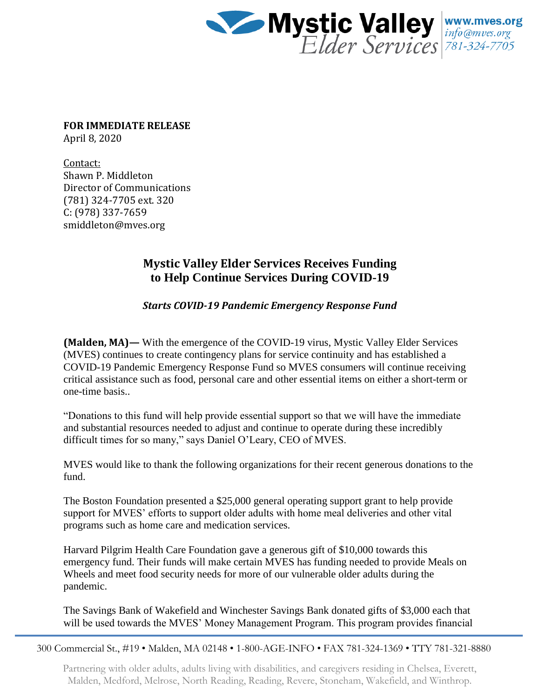

**FOR IMMEDIATE RELEASE** April 8, 2020

Contact: Shawn P. Middleton Director of Communications (781) 324-7705 ext. 320 C: (978) 337-7659 smiddleton@mves.org

## **Mystic Valley Elder Services Receives Funding to Help Continue Services During COVID-19**

*Starts COVID-19 Pandemic Emergency Response Fund*

**(Malden, MA)—** With the emergence of the COVID-19 virus, Mystic Valley Elder Services (MVES) continues to create contingency plans for service continuity and has established a COVID-19 Pandemic Emergency Response Fund so MVES consumers will continue receiving critical assistance such as food, personal care and other essential items on either a short-term or one-time basis..

"Donations to this fund will help provide essential support so that we will have the immediate and substantial resources needed to adjust and continue to operate during these incredibly difficult times for so many," says Daniel O'Leary, CEO of MVES.

MVES would like to thank the following organizations for their recent generous donations to the fund.

The Boston Foundation presented a \$25,000 general operating support grant to help provide support for MVES' efforts to support older adults with home meal deliveries and other vital programs such as home care and medication services.

Harvard Pilgrim Health Care Foundation gave a generous gift of \$10,000 towards this emergency fund. Their funds will make certain MVES has funding needed to provide Meals on Wheels and meet food security needs for more of our vulnerable older adults during the pandemic.

The Savings Bank of Wakefield and Winchester Savings Bank donated gifts of \$3,000 each that will be used towards the MVES' Money Management Program. This program provides financial

300 Commercial St., #19 • Malden, MA 02148 • 1-800-AGE-INFO • FAX 781-324-1369 • TTY 781-321-8880

Partnering with older adults, adults living with disabilities, and caregivers residing in Chelsea, Everett, Malden, Medford, Melrose, North Reading, Reading, Revere, Stoneham, Wakefield, and Winthrop.